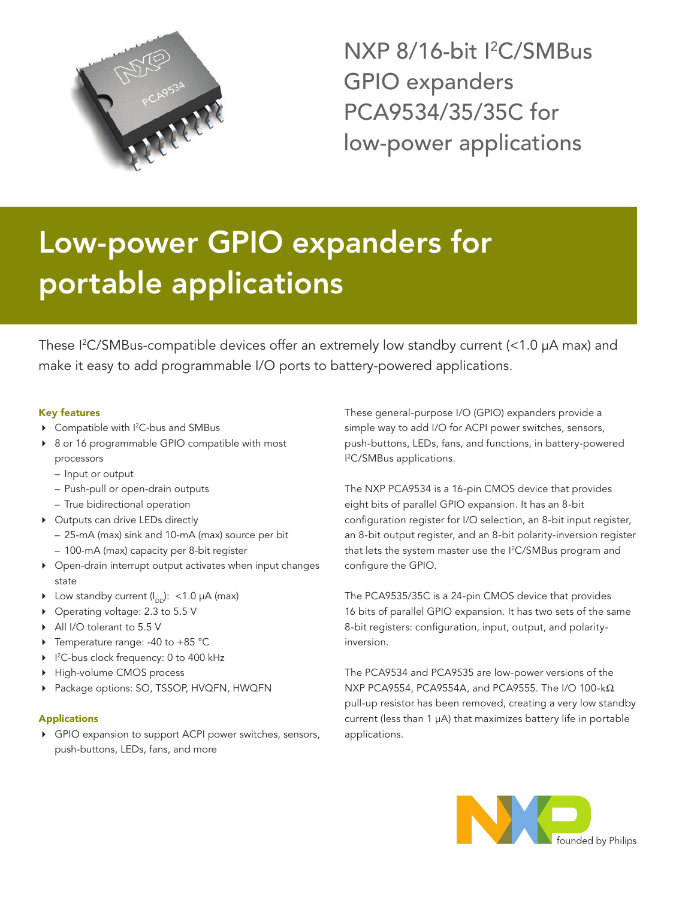

NXP 8/16-bit I<sup>2</sup>C/SMBus GPIO expanders PCA9534/35/35C for low-power applications

# Low-power GPIO expanders for portable applications

These I 2 C/SMBus-compatible devices offer an extremely low standby current (<1.0 µA max) and make it easy to add programmable I/O ports to battery-powered applications.

# Key features

- ▶ Compatible with I<sup>2</sup>C-bus and SMBus
- ▶ 8 or 16 programmable GPIO compatible with most processors
	- Input or output
	- Push-pull or open-drain outputs
	- True bidirectional operation
- ▶ Outputs can drive LEDs directly
	- 25-mA (max) sink and 10-mA (max) source per bit
	- 100-mA (max) capacity per 8-bit register
- 4 Open-drain interrupt output activates when input changes state
- $\blacktriangleright$  Low standby current (I<sub>DD</sub>): <1.0 µA (max)
- ▶ Operating voltage: 2.3 to 5.5 V
- All I/O tolerant to 5.5 V
- $\triangleright$  Temperature range: -40 to +85 °C
- ▶ I<sup>2</sup>C-bus clock frequency: 0 to 400 kHz
- High-volume CMOS process
- ▶ Package options: SO, TSSOP, HVQFN, HWQFN

## Applications

4 GPIO expansion to support ACPI power switches, sensors, push-buttons, LEDs, fans, and more

These general-purpose I/O (GPIO) expanders provide a simple way to add I/O for ACPI power switches, sensors, push-buttons, LEDs, fans, and functions, in battery-powered I 2 C/SMBus applications.

The NXP PCA9534 is a 16-pin CMOS device that provides eight bits of parallel GPIO expansion. It has an 8-bit configuration register for I/O selection, an 8-bit input register, an 8-bit output register, and an 8-bit polarity-inversion register that lets the system master use the I 2 C/SMBus program and configure the GPIO.

The PCA9535/35C is a 24-pin CMOS device that provides 16 bits of parallel GPIO expansion. It has two sets of the same 8-bit registers: configuration, input, output, and polarityinversion.

The PCA9534 and PCA9535 are low-power versions of the NXP PCA9554, PCA9554A, and PCA9555. The I/O 100-k $\Omega$ pull-up resistor has been removed, creating a very low standby current (less than 1 µA) that maximizes battery life in portable applications.